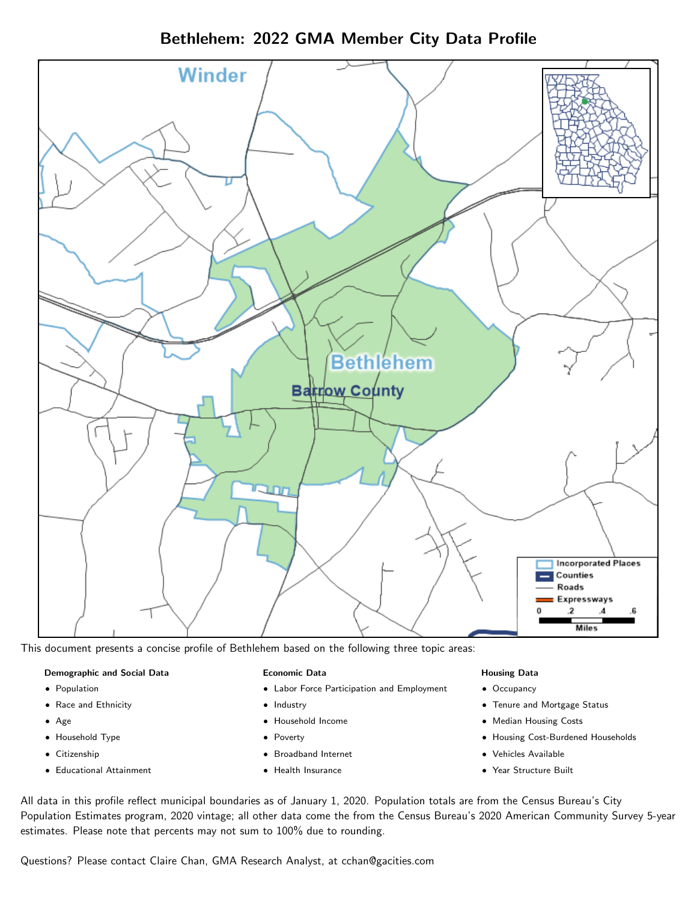Bethlehem: 2022 GMA Member City Data Profile



This document presents a concise profile of Bethlehem based on the following three topic areas:

### Demographic and Social Data

- **•** Population
- Race and Ethnicity
- Age
- Household Type
- **Citizenship**
- Educational Attainment

### Economic Data

- Labor Force Participation and Employment
- Industry
- Household Income
- Poverty
- Broadband Internet
- Health Insurance

### Housing Data

- Occupancy
- Tenure and Mortgage Status
- Median Housing Costs
- Housing Cost-Burdened Households
- Vehicles Available
- Year Structure Built

All data in this profile reflect municipal boundaries as of January 1, 2020. Population totals are from the Census Bureau's City Population Estimates program, 2020 vintage; all other data come the from the Census Bureau's 2020 American Community Survey 5-year estimates. Please note that percents may not sum to 100% due to rounding.

Questions? Please contact Claire Chan, GMA Research Analyst, at [cchan@gacities.com.](mailto:cchan@gacities.com)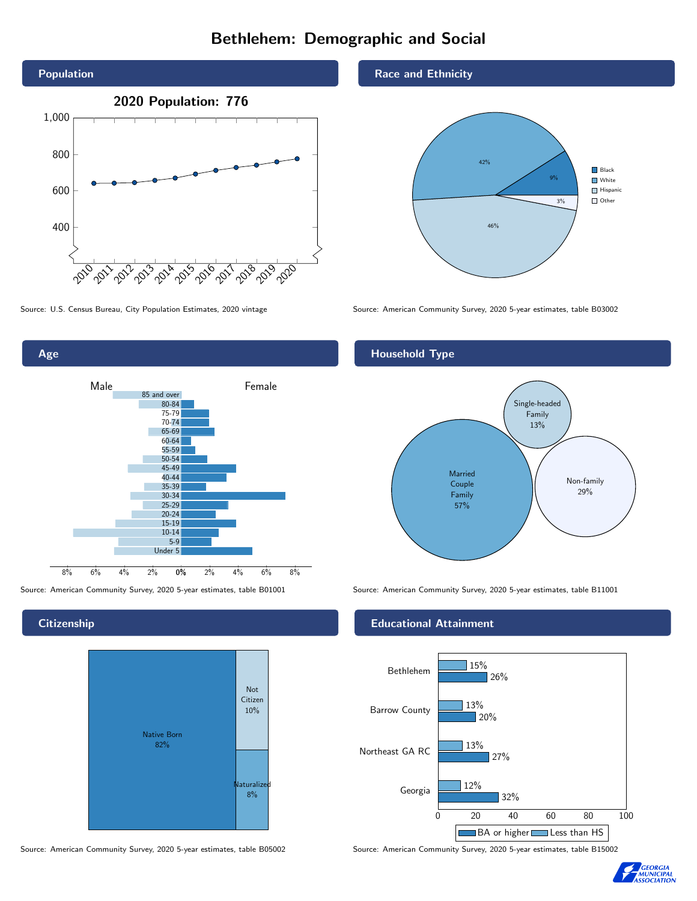# Bethlehem: Demographic and Social





### **Citizenship**



Source: American Community Survey, 2020 5-year estimates, table B05002 Source: American Community Survey, 2020 5-year estimates, table B15002

### Race and Ethnicity



Source: U.S. Census Bureau, City Population Estimates, 2020 vintage Source: American Community Survey, 2020 5-year estimates, table B03002

## Household Type



Source: American Community Survey, 2020 5-year estimates, table B01001 Source: American Community Survey, 2020 5-year estimates, table B11001

### Educational Attainment



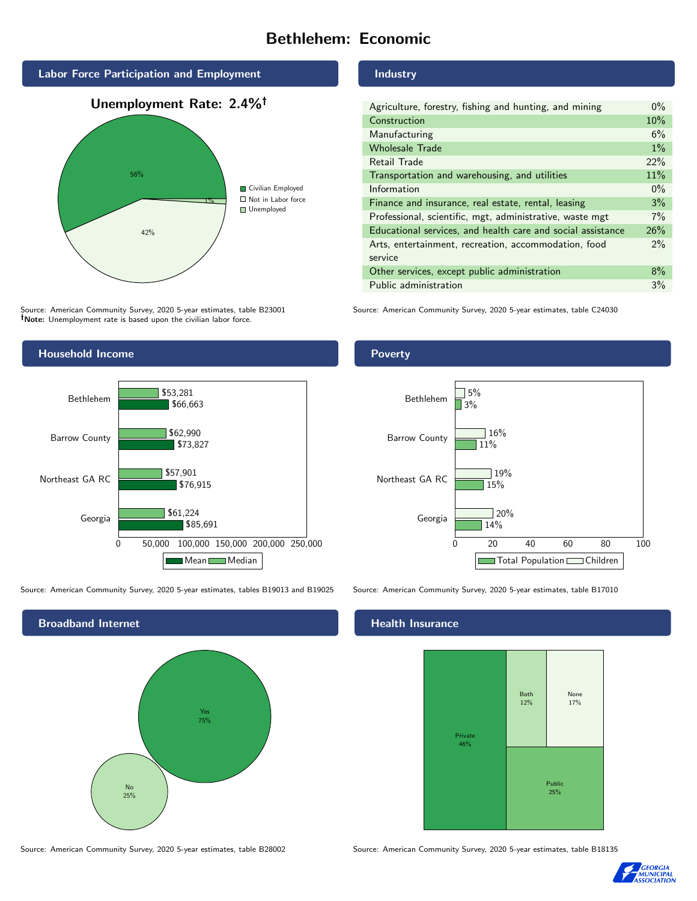# Bethlehem: Economic



Source: American Community Survey, 2020 5-year estimates, table B23001 Note: Unemployment rate is based upon the civilian labor force.



Source: American Community Survey, 2020 5-year estimates, tables B19013 and B19025 Source: American Community Survey, 2020 5-year estimates, table B17010



Industry

| Agriculture, forestry, fishing and hunting, and mining      | $0\%$ |
|-------------------------------------------------------------|-------|
| Construction                                                | 10%   |
| Manufacturing                                               | 6%    |
| <b>Wholesale Trade</b>                                      | $1\%$ |
| Retail Trade                                                | 22%   |
| Transportation and warehousing, and utilities               | 11%   |
| Information                                                 | $0\%$ |
| Finance and insurance, real estate, rental, leasing         | 3%    |
| Professional, scientific, mgt, administrative, waste mgt    | 7%    |
| Educational services, and health care and social assistance | 26%   |
| Arts, entertainment, recreation, accommodation, food        | 2%    |
| service                                                     |       |
| Other services, except public administration                | $8\%$ |
| Public administration                                       | 3%    |

Source: American Community Survey, 2020 5-year estimates, table C24030

### Poverty



### Health Insurance



Source: American Community Survey, 2020 5-year estimates, table B28002 Source: American Community Survey, 2020 5-year estimates, table B18135